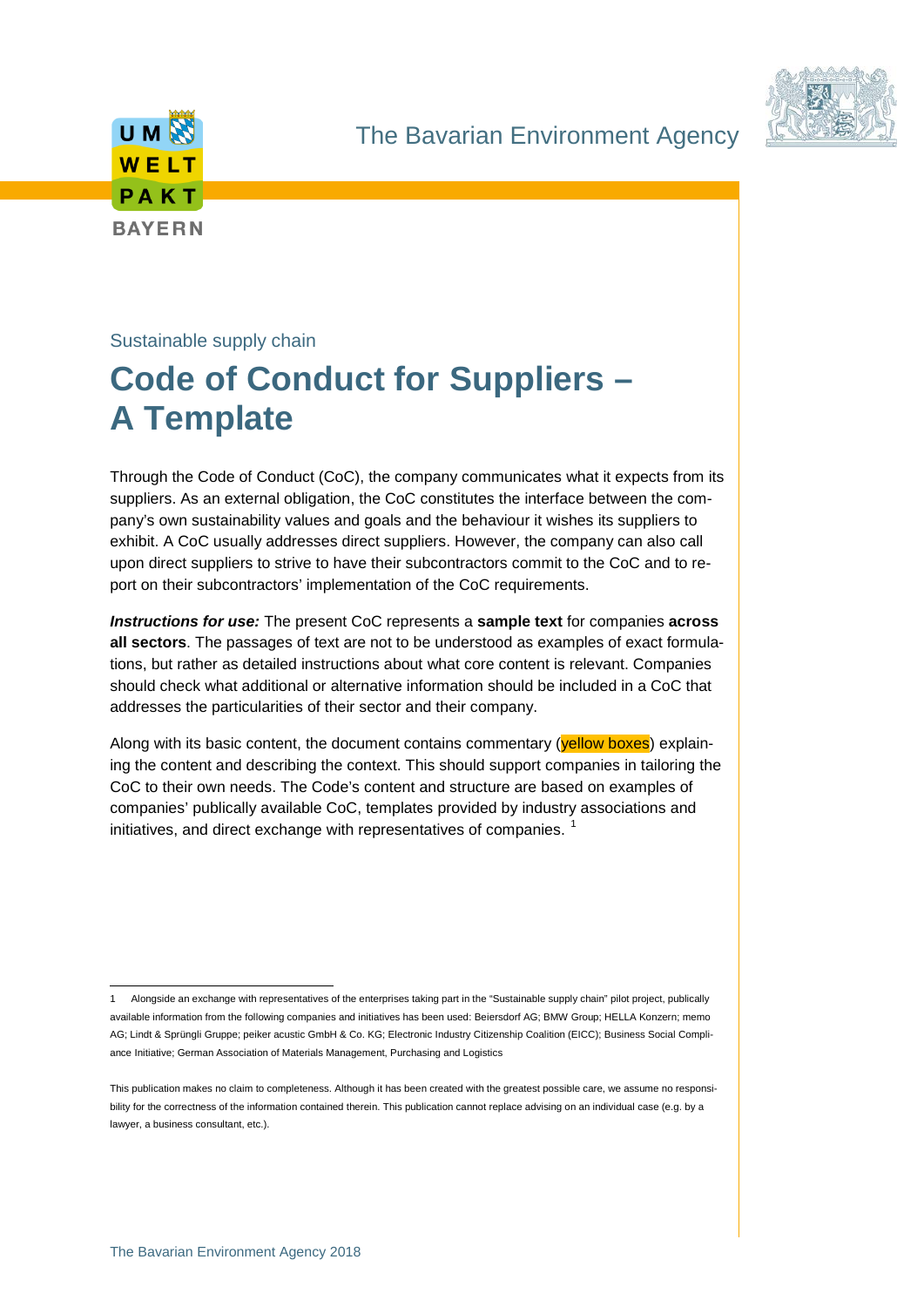





# Sustainable supply chain

# **Code of Conduct for Suppliers – A Template**

Through the Code of Conduct (CoC), the company communicates what it expects from its suppliers. As an external obligation, the CoC constitutes the interface between the company's own sustainability values and goals and the behaviour it wishes its suppliers to exhibit. A CoC usually addresses direct suppliers. However, the company can also call upon direct suppliers to strive to have their subcontractors commit to the CoC and to report on their subcontractors' implementation of the CoC requirements.

*Instructions for use:* The present CoC represents a **sample text** for companies **across all sectors**. The passages of text are not to be understood as examples of exact formulations, but rather as detailed instructions about what core content is relevant. Companies should check what additional or alternative information should be included in a CoC that addresses the particularities of their sector and their company.

Along with its basic content, the document contains commentary (yellow boxes) explaining the content and describing the context. This should support companies in tailoring the CoC to their own needs. The Code's content and structure are based on examples of companies' publically available CoC, templates provided by industry associations and initiatives, and direct exchange with representatives of companies.<sup>[1](#page-0-0)</sup>

 <sup>1</sup> Alongside an exchange with representatives of the enterprises taking part in the "Sustainable supply chain" pilot project, publically available information from the following companies and initiatives has been used: Beiersdorf AG; BMW Group; HELLA Konzern; memo AG; Lindt & Sprüngli Gruppe; peiker acustic GmbH & Co. KG; Electronic Industry Citizenship Coalition (EICC); Business Social Compliance Initiative; German Association of Materials Management, Purchasing and Logistics

<span id="page-0-0"></span>This publication makes no claim to completeness. Although it has been created with the greatest possible care, we assume no responsibility for the correctness of the information contained therein. This publication cannot replace advising on an individual case (e.g. by a lawyer, a business consultant, etc.).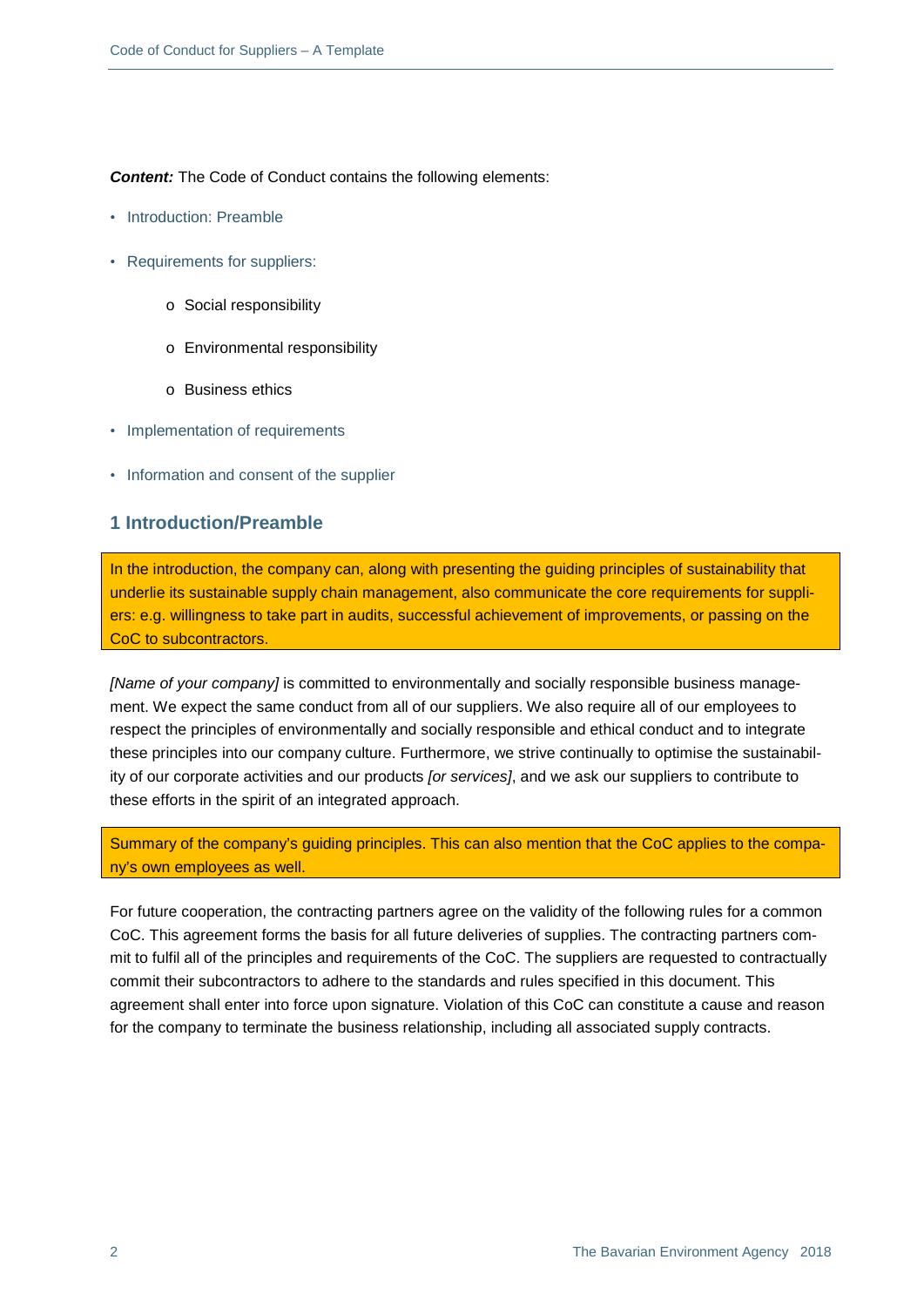**Content:** The Code of Conduct contains the following elements:

- Introduction: Preamble
- Requirements for suppliers:
	- o Social responsibility
	- o Environmental responsibility
	- o Business ethics
- Implementation of requirements
- Information and consent of the supplier

## **1 Introduction/Preamble**

In the introduction, the company can, along with presenting the guiding principles of sustainability that underlie its sustainable supply chain management, also communicate the core requirements for suppliers: e.g. willingness to take part in audits, successful achievement of improvements, or passing on the CoC to subcontractors.

*[Name of your company]* is committed to environmentally and socially responsible business management. We expect the same conduct from all of our suppliers. We also require all of our employees to respect the principles of environmentally and socially responsible and ethical conduct and to integrate these principles into our company culture. Furthermore, we strive continually to optimise the sustainability of our corporate activities and our products *[or services]*, and we ask our suppliers to contribute to these efforts in the spirit of an integrated approach.

Summary of the company's guiding principles. This can also mention that the CoC applies to the company's own employees as well.

For future cooperation, the contracting partners agree on the validity of the following rules for a common CoC. This agreement forms the basis for all future deliveries of supplies. The contracting partners commit to fulfil all of the principles and requirements of the CoC. The suppliers are requested to contractually commit their subcontractors to adhere to the standards and rules specified in this document. This agreement shall enter into force upon signature. Violation of this CoC can constitute a cause and reason for the company to terminate the business relationship, including all associated supply contracts.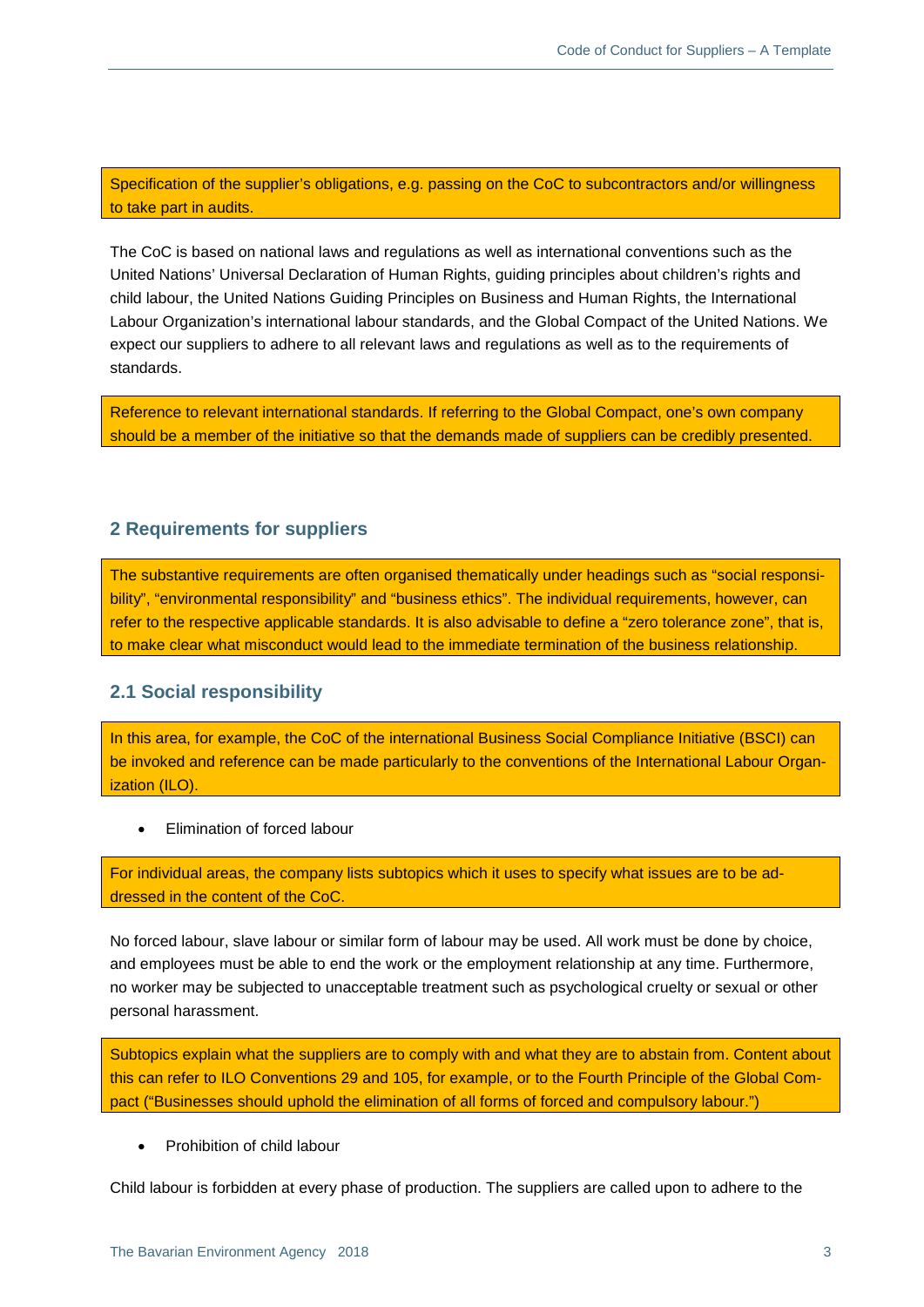Specification of the supplier's obligations, e.g. passing on the CoC to subcontractors and/or willingness to take part in audits.

The CoC is based on national laws and regulations as well as international conventions such as the United Nations' Universal Declaration of Human Rights, guiding principles about children's rights and child labour, the United Nations Guiding Principles on Business and Human Rights, the International Labour Organization's international labour standards, and the Global Compact of the United Nations. We expect our suppliers to adhere to all relevant laws and regulations as well as to the requirements of standards.

Reference to relevant international standards. If referring to the Global Compact, one's own company should be a member of the initiative so that the demands made of suppliers can be credibly presented.

### **2 Requirements for suppliers**

The substantive requirements are often organised thematically under headings such as "social responsibility", "environmental responsibility" and "business ethics". The individual requirements, however, can refer to the respective applicable standards. It is also advisable to define a "zero tolerance zone", that is, to make clear what misconduct would lead to the immediate termination of the business relationship.

#### **2.1 Social responsibility**

In this area, for example, the CoC of the international Business Social Compliance Initiative (BSCI) can be invoked and reference can be made particularly to the conventions of the International Labour Organization (ILO).

• Elimination of forced labour

For individual areas, the company lists subtopics which it uses to specify what issues are to be addressed in the content of the CoC.

No forced labour, slave labour or similar form of labour may be used. All work must be done by choice, and employees must be able to end the work or the employment relationship at any time. Furthermore, no worker may be subjected to unacceptable treatment such as psychological cruelty or sexual or other personal harassment.

Subtopics explain what the suppliers are to comply with and what they are to abstain from. Content about this can refer to ILO Conventions 29 and 105, for example, or to the Fourth Principle of the Global Compact ("Businesses should uphold the elimination of all forms of forced and compulsory labour.")

• Prohibition of child labour

Child labour is forbidden at every phase of production. The suppliers are called upon to adhere to the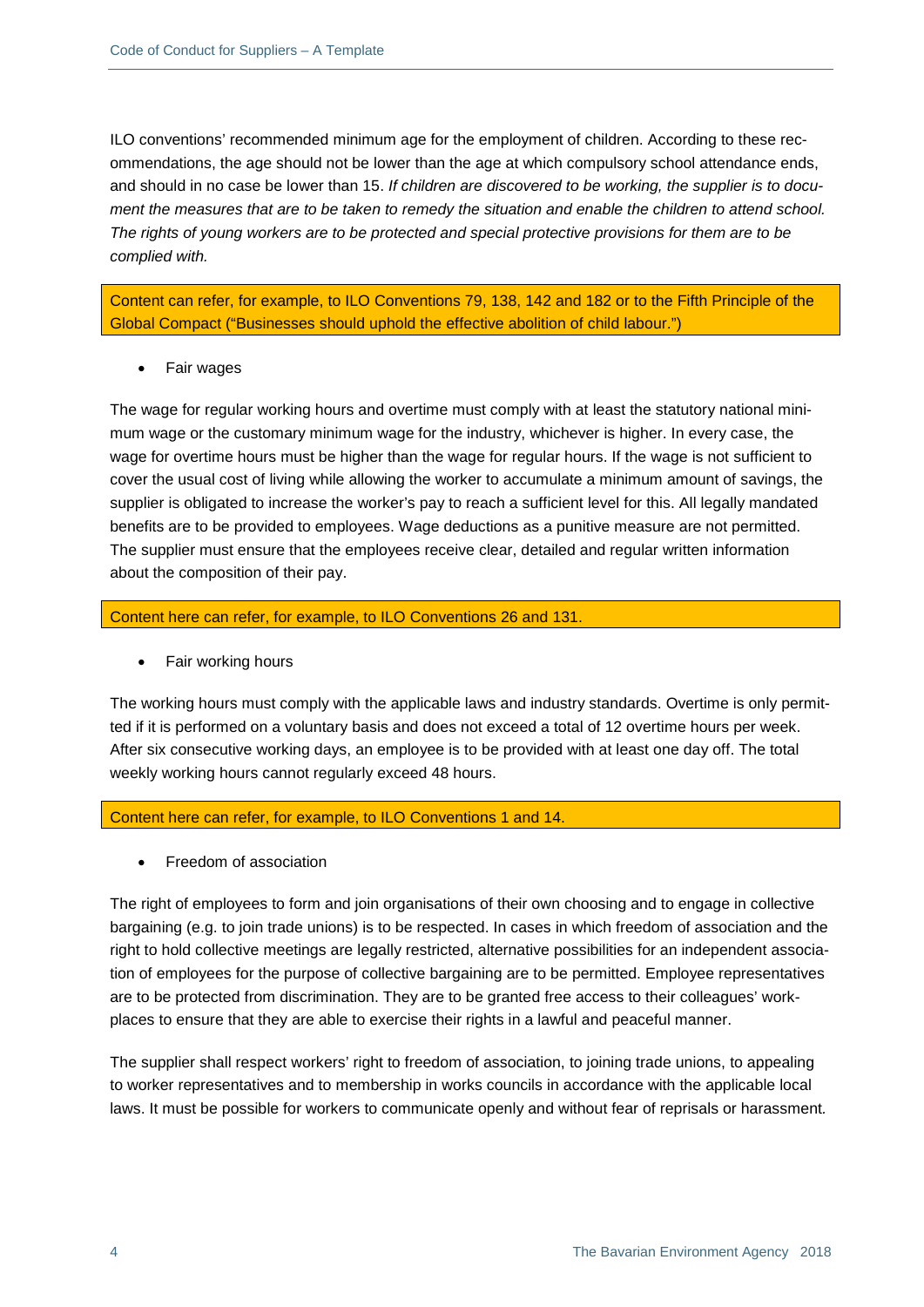ILO conventions' recommended minimum age for the employment of children. According to these recommendations, the age should not be lower than the age at which compulsory school attendance ends, and should in no case be lower than 15. *If children are discovered to be working, the supplier is to document the measures that are to be taken to remedy the situation and enable the children to attend school. The rights of young workers are to be protected and special protective provisions for them are to be complied with.* 

Content can refer, for example, to ILO Conventions 79, 138, 142 and 182 or to the Fifth Principle of the Global Compact ("Businesses should uphold the effective abolition of child labour.")

• Fair wages

The wage for regular working hours and overtime must comply with at least the statutory national minimum wage or the customary minimum wage for the industry, whichever is higher. In every case, the wage for overtime hours must be higher than the wage for regular hours. If the wage is not sufficient to cover the usual cost of living while allowing the worker to accumulate a minimum amount of savings, the supplier is obligated to increase the worker's pay to reach a sufficient level for this. All legally mandated benefits are to be provided to employees. Wage deductions as a punitive measure are not permitted. The supplier must ensure that the employees receive clear, detailed and regular written information about the composition of their pay.

Content here can refer, for example, to ILO Conventions 26 and 131.

• Fair working hours

The working hours must comply with the applicable laws and industry standards. Overtime is only permitted if it is performed on a voluntary basis and does not exceed a total of 12 overtime hours per week. After six consecutive working days, an employee is to be provided with at least one day off. The total weekly working hours cannot regularly exceed 48 hours.

Content here can refer, for example, to ILO Conventions 1 and 14.

• Freedom of association

The right of employees to form and join organisations of their own choosing and to engage in collective bargaining (e.g. to join trade unions) is to be respected. In cases in which freedom of association and the right to hold collective meetings are legally restricted, alternative possibilities for an independent association of employees for the purpose of collective bargaining are to be permitted. Employee representatives are to be protected from discrimination. They are to be granted free access to their colleagues' workplaces to ensure that they are able to exercise their rights in a lawful and peaceful manner.

The supplier shall respect workers' right to freedom of association, to joining trade unions, to appealing to worker representatives and to membership in works councils in accordance with the applicable local laws. It must be possible for workers to communicate openly and without fear of reprisals or harassment*.*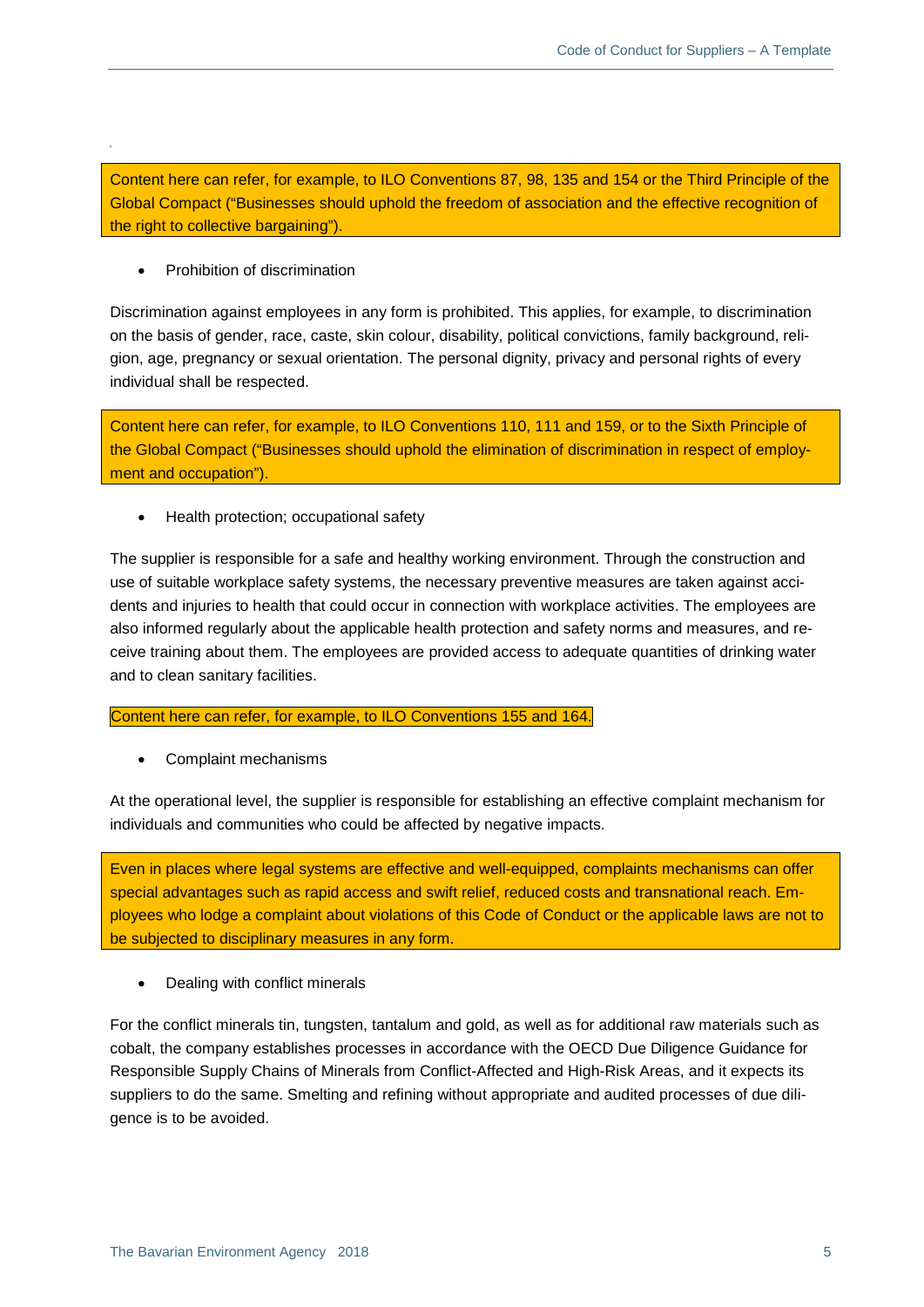Content here can refer, for example, to ILO Conventions 87, 98, 135 and 154 or the Third Principle of the Global Compact ("Businesses should uphold the freedom of association and the effective recognition of the right to collective bargaining").

• Prohibition of discrimination

Discrimination against employees in any form is prohibited. This applies, for example, to discrimination on the basis of gender, race, caste, skin colour, disability, political convictions, family background, religion, age, pregnancy or sexual orientation. The personal dignity, privacy and personal rights of every individual shall be respected.

Content here can refer, for example, to ILO Conventions 110, 111 and 159, or to the Sixth Principle of the Global Compact ("Businesses should uphold the elimination of discrimination in respect of employment and occupation").

• Health protection; occupational safety

The supplier is responsible for a safe and healthy working environment. Through the construction and use of suitable workplace safety systems, the necessary preventive measures are taken against accidents and injuries to health that could occur in connection with workplace activities. The employees are also informed regularly about the applicable health protection and safety norms and measures, and receive training about them. The employees are provided access to adequate quantities of drinking water and to clean sanitary facilities.

Content here can refer, for example, to ILO Conventions 155 and 164.

• Complaint mechanisms

At the operational level, the supplier is responsible for establishing an effective complaint mechanism for individuals and communities who could be affected by negative impacts.

Even in places where legal systems are effective and well-equipped, complaints mechanisms can offer special advantages such as rapid access and swift relief, reduced costs and transnational reach. Employees who lodge a complaint about violations of this Code of Conduct or the applicable laws are not to be subjected to disciplinary measures in any form.

• Dealing with conflict minerals

For the conflict minerals tin, tungsten, tantalum and gold, as well as for additional raw materials such as cobalt, the company establishes processes in accordance with the OECD Due Diligence Guidance for Responsible Supply Chains of Minerals from Conflict-Affected and High-Risk Areas, and it expects its suppliers to do the same. Smelting and refining without appropriate and audited processes of due diligence is to be avoided.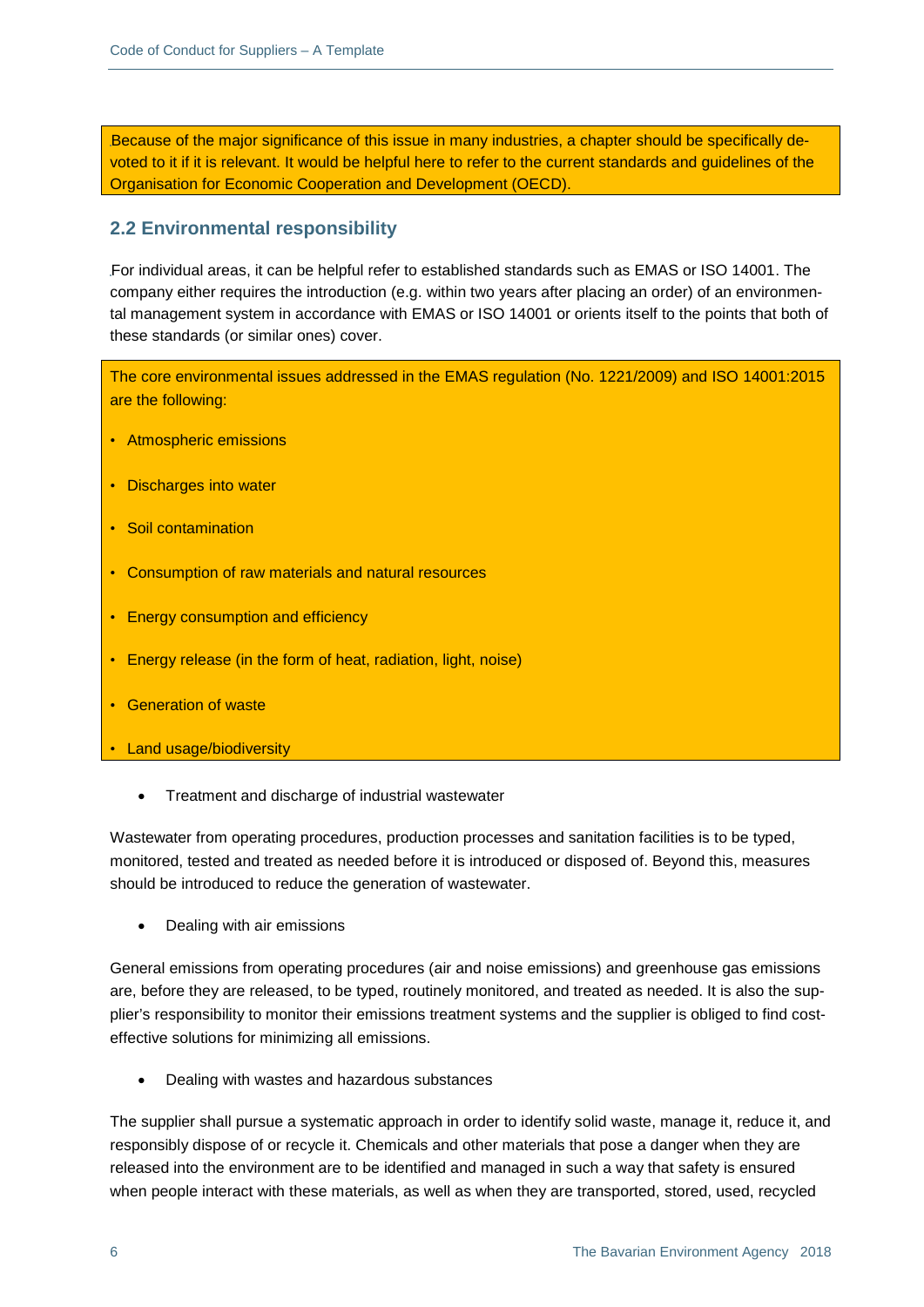Because of the major significance of this issue in many industries, a chapter should be specifically devoted to it if it is relevant. It would be helpful here to refer to the current standards and guidelines of the Organisation for Economic Cooperation and Development (OECD).

## **2.2 Environmental responsibility**

For individual areas, it can be helpful refer to established standards such as EMAS or ISO 14001. The company either requires the introduction (e.g. within two years after placing an order) of an environmental management system in accordance with EMAS or ISO 14001 or orients itself to the points that both of these standards (or similar ones) cover.

The core environmental issues addressed in the EMAS regulation (No. 1221/2009) and ISO 14001:2015 are the following:

- Atmospheric emissions
- Discharges into water
- Soil contamination
- Consumption of raw materials and natural resources
- Energy consumption and efficiency
- Energy release (in the form of heat, radiation, light, noise)
- Generation of waste
- Land usage/biodiversity
	- Treatment and discharge of industrial wastewater

Wastewater from operating procedures, production processes and sanitation facilities is to be typed, monitored, tested and treated as needed before it is introduced or disposed of. Beyond this, measures should be introduced to reduce the generation of wastewater.

• Dealing with air emissions

General emissions from operating procedures (air and noise emissions) and greenhouse gas emissions are, before they are released, to be typed, routinely monitored, and treated as needed. It is also the supplier's responsibility to monitor their emissions treatment systems and the supplier is obliged to find costeffective solutions for minimizing all emissions.

• Dealing with wastes and hazardous substances

The supplier shall pursue a systematic approach in order to identify solid waste, manage it, reduce it, and responsibly dispose of or recycle it. Chemicals and other materials that pose a danger when they are released into the environment are to be identified and managed in such a way that safety is ensured when people interact with these materials, as well as when they are transported, stored, used, recycled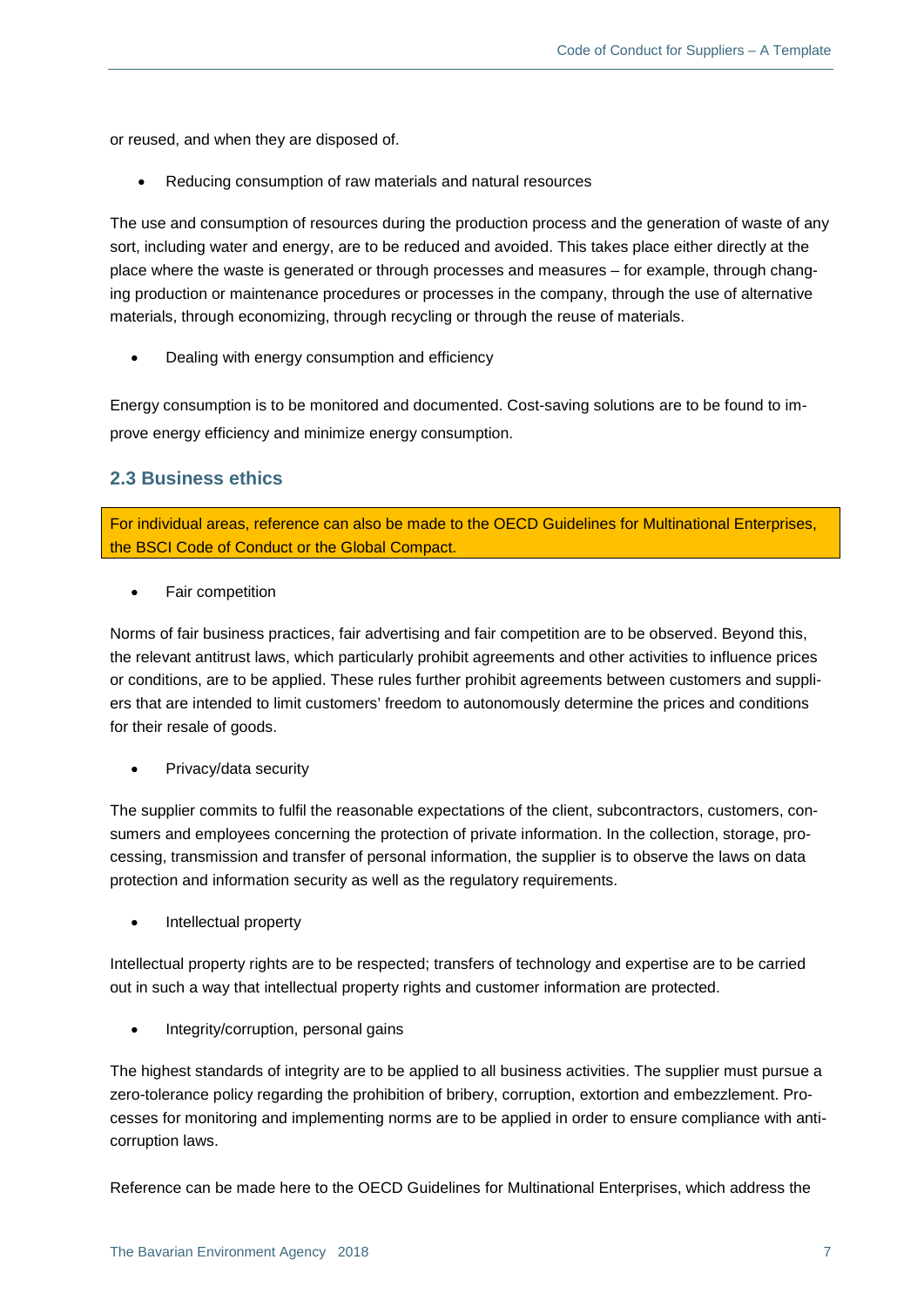or reused, and when they are disposed of.

• Reducing consumption of raw materials and natural resources

The use and consumption of resources during the production process and the generation of waste of any sort, including water and energy, are to be reduced and avoided. This takes place either directly at the place where the waste is generated or through processes and measures – for example, through changing production or maintenance procedures or processes in the company, through the use of alternative materials, through economizing, through recycling or through the reuse of materials.

• Dealing with energy consumption and efficiency

Energy consumption is to be monitored and documented. Cost-saving solutions are to be found to improve energy efficiency and minimize energy consumption.

# **2.3 Business ethics**

For individual areas, reference can also be made to the OECD Guidelines for Multinational Enterprises, the BSCI Code of Conduct or the Global Compact.

Fair competition

Norms of fair business practices, fair advertising and fair competition are to be observed. Beyond this, the relevant antitrust laws, which particularly prohibit agreements and other activities to influence prices or conditions, are to be applied. These rules further prohibit agreements between customers and suppliers that are intended to limit customers' freedom to autonomously determine the prices and conditions for their resale of goods.

• Privacy/data security

The supplier commits to fulfil the reasonable expectations of the client, subcontractors, customers, consumers and employees concerning the protection of private information. In the collection, storage, processing, transmission and transfer of personal information, the supplier is to observe the laws on data protection and information security as well as the regulatory requirements.

• Intellectual property

Intellectual property rights are to be respected; transfers of technology and expertise are to be carried out in such a way that intellectual property rights and customer information are protected.

• Integrity/corruption, personal gains

The highest standards of integrity are to be applied to all business activities. The supplier must pursue a zero-tolerance policy regarding the prohibition of bribery, corruption, extortion and embezzlement. Processes for monitoring and implementing norms are to be applied in order to ensure compliance with anticorruption laws.

Reference can be made here to the OECD Guidelines for Multinational Enterprises, which address the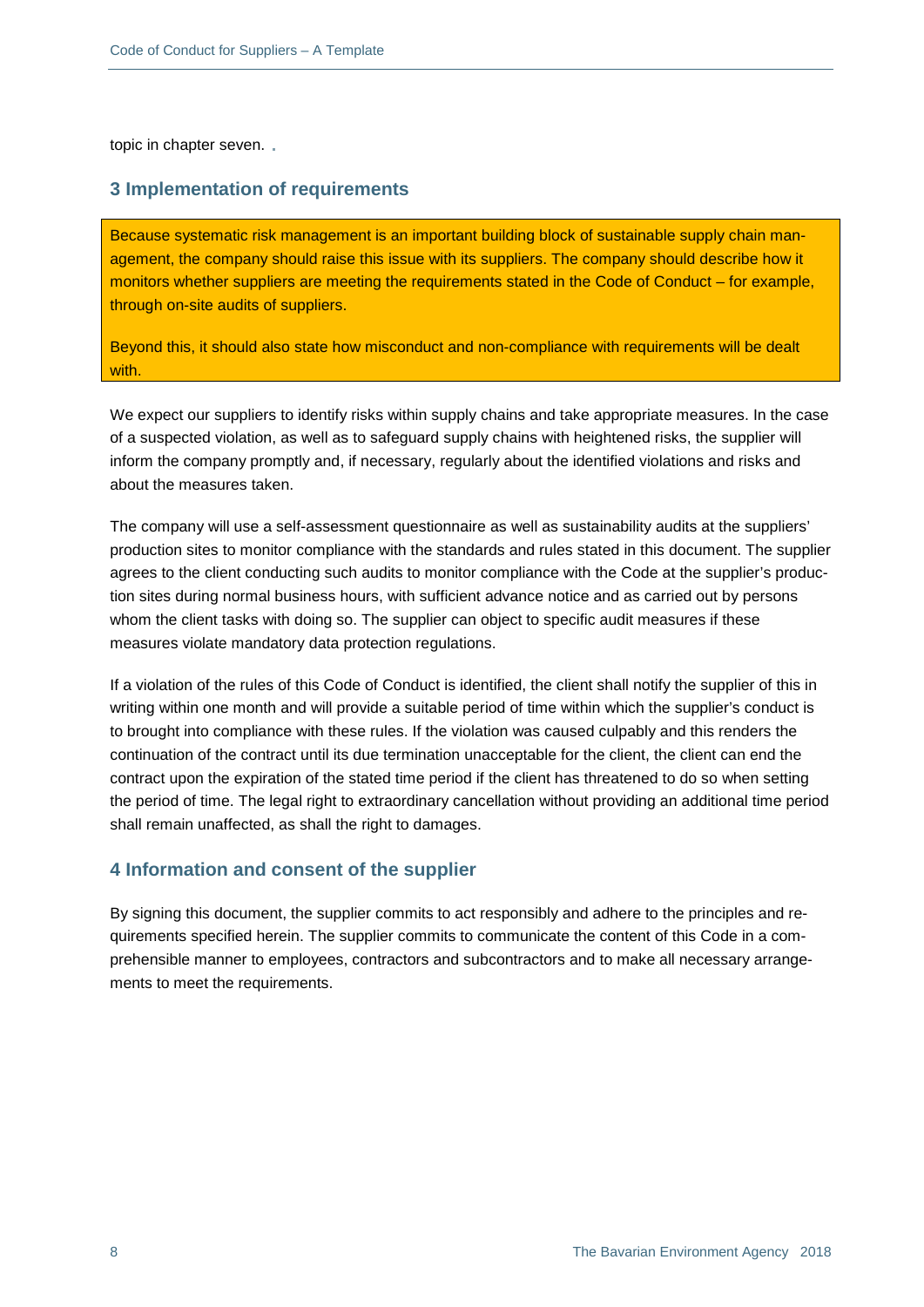topic in chapter seven.

#### **3 Implementation of requirements**

Because systematic risk management is an important building block of sustainable supply chain management, the company should raise this issue with its suppliers. The company should describe how it monitors whether suppliers are meeting the requirements stated in the Code of Conduct – for example, through on-site audits of suppliers.

Beyond this, it should also state how misconduct and non-compliance with requirements will be dealt with.

We expect our suppliers to identify risks within supply chains and take appropriate measures. In the case of a suspected violation, as well as to safeguard supply chains with heightened risks, the supplier will inform the company promptly and, if necessary, regularly about the identified violations and risks and about the measures taken.

The company will use a self-assessment questionnaire as well as sustainability audits at the suppliers' production sites to monitor compliance with the standards and rules stated in this document. The supplier agrees to the client conducting such audits to monitor compliance with the Code at the supplier's production sites during normal business hours, with sufficient advance notice and as carried out by persons whom the client tasks with doing so. The supplier can object to specific audit measures if these measures violate mandatory data protection regulations.

If a violation of the rules of this Code of Conduct is identified, the client shall notify the supplier of this in writing within one month and will provide a suitable period of time within which the supplier's conduct is to brought into compliance with these rules. If the violation was caused culpably and this renders the continuation of the contract until its due termination unacceptable for the client, the client can end the contract upon the expiration of the stated time period if the client has threatened to do so when setting the period of time. The legal right to extraordinary cancellation without providing an additional time period shall remain unaffected, as shall the right to damages.

## **4 Information and consent of the supplier**

By signing this document, the supplier commits to act responsibly and adhere to the principles and requirements specified herein. The supplier commits to communicate the content of this Code in a comprehensible manner to employees, contractors and subcontractors and to make all necessary arrangements to meet the requirements.